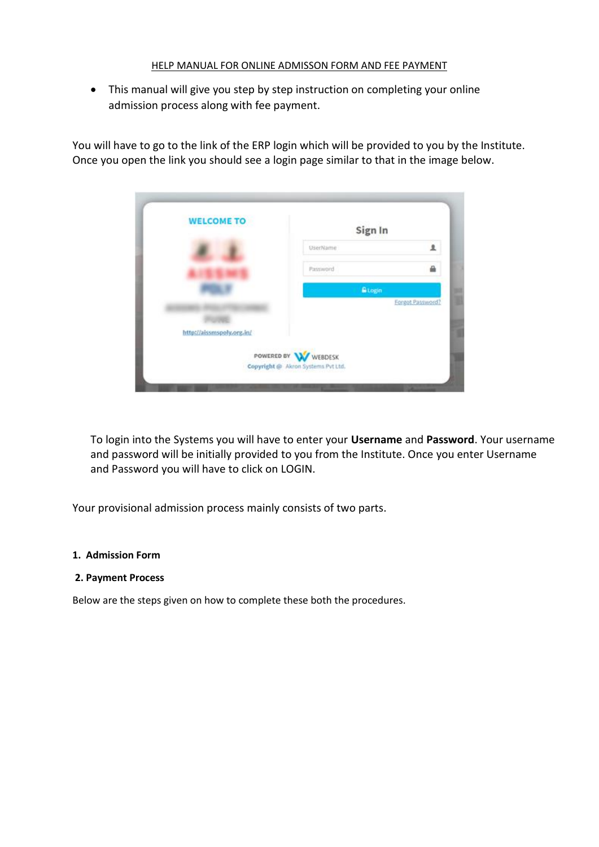## HELP MANUAL FOR ONLINE ADMISSON FORM AND FEE PAYMENT

• This manual will give you step by step instruction on completing your online admission process along with fee payment.

You will have to go to the link of the ERP login which will be provided to you by the Institute. Once you open the link you should see a login page similar to that in the image below.



To login into the Systems you will have to enter your **Username** and **Password**. Your username and password will be initially provided to you from the Institute. Once you enter Username and Password you will have to click on LOGIN.

Your provisional admission process mainly consists of two parts.

### **1. Admission Form**

#### **2. Payment Process**

Below are the steps given on how to complete these both the procedures.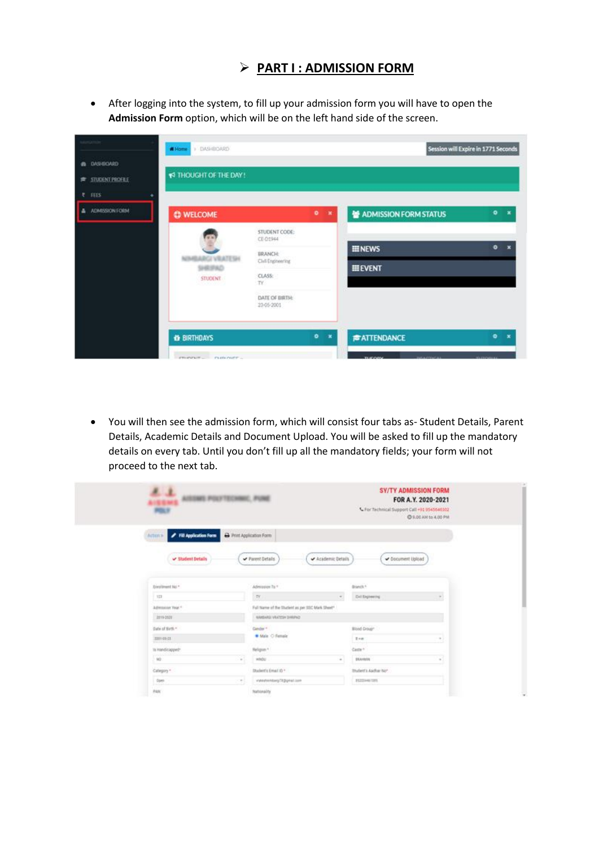# ➢ **PART I : ADMISSION FORM**

• After logging into the system, to fill up your admission form you will have to open the **Admission Form** option, which will be on the left hand side of the screen.



• You will then see the admission form, which will consist four tabs as- Student Details, Parent Details, Academic Details and Document Upload. You will be asked to fill up the mandatory details on every tab. Until you don't fill up all the mandatory fields; your form will not proceed to the next tab.

| A. A.<br>Insides Annan Poutronair, Pune<br>Paz |                                                 |                           | <b>SY/TY ADMISSION FORM</b><br>FOR A.Y. 2020-2021<br>L For Technical Support Call =91 9545646302<br>C 9.00 AM to 4.00 PM |
|------------------------------------------------|-------------------------------------------------|---------------------------|--------------------------------------------------------------------------------------------------------------------------|
| Fill Application Form<br>Actors                | Print Application Form                          |                           |                                                                                                                          |
| V Student Details                              | Parent Details                                  | Academic Details          | Occument Upload                                                                                                          |
| Entriment No. *                                | Admission 7s 1                                  | Branch *                  |                                                                                                                          |
| i un                                           | TY.                                             | Diffugeeeing<br>$\sim$    | $\sim$                                                                                                                   |
| Admission Year 1                               | Full Name of the Shafent as per 35C Mark Show!" |                           |                                                                                                                          |
| <b>Jone Door</b>                               | AIMBARD VIATED THREE.                           |                           |                                                                                                                          |
|                                                |                                                 |                           |                                                                                                                          |
| Date of Birth *                                | Gender *                                        | Blond Group"              |                                                                                                                          |
| 330109-23<br><b>THERE</b>                      | · Male O Female                                 | $T = 16$                  | $\sim$                                                                                                                   |
| ть манабодирит-                                | Religion *                                      | Caste <sup>n</sup>        |                                                                                                                          |
| plane Library<br>NO.                           | HADG<br>$\sim$                                  | <b>Bluenday</b><br>$\sim$ | $\sim$                                                                                                                   |
| Category *                                     | Diadent's Email (D.+                            | Thurlett's Author No      |                                                                                                                          |
| Does:<br><b>LAGO</b>                           | viewenseptigonstam<br>$\sim$                    | PEZDIAMITORS              |                                                                                                                          |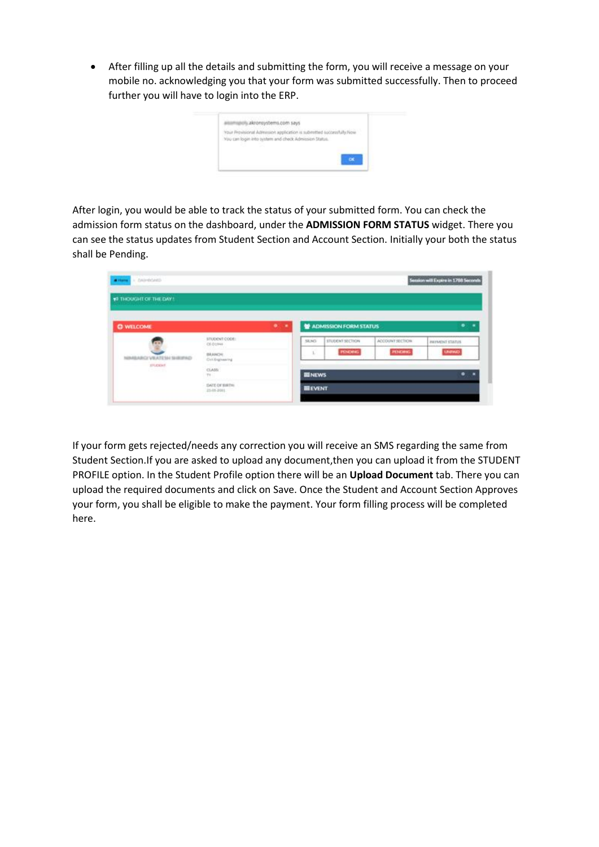• After filling up all the details and submitting the form, you will receive a message on your mobile no. acknowledging you that your form was submitted successfully. Then to proceed further you will have to login into the ERP.

| Your Provisional Admission application is submitted successfully Now |  |
|----------------------------------------------------------------------|--|
| You can login into system and check Admission Status.                |  |
|                                                                      |  |
|                                                                      |  |

After login, you would be able to track the status of your submitted form. You can check the admission form status on the dashboard, under the **ADMISSION FORM STATUS** widget. There you can see the status updates from Student Section and Account Section. Initially your both the status shall be Pending.

| Witness - DAIPROMED    |                                    |                 |                       |                 | Session will Expire in 1788 Seconds |
|------------------------|------------------------------------|-----------------|-----------------------|-----------------|-------------------------------------|
| #3 THOUGHT OF THE DAY! |                                    |                 |                       |                 |                                     |
| <b>C WELCOME</b>       | $\bullet$<br>. .                   |                 | ADMISSION FORM STATUS |                 |                                     |
|                        | STUDENT CODE:<br>OL D1948          | 58,945          | STUDENT SECTION       | ACCOUNT SECTION | <b><i>MINUNT STATUS</i></b>         |
| GANINE HESTA WYSTA     | BRANCH:<br>Civil Engineering       | î.              | <b>POIDERS</b>        | <b>PENDING</b>  | <b>UNITARD</b>                      |
| EFLOCHT.<br>usaan in   | CLASS:<br>TF.                      | <b>III</b> NEWS |                       |                 | ٠                                   |
|                        | <b>GATE OF BRITH</b><br>23-05-2011 | <b>IIIEVENT</b> |                       |                 |                                     |

If your form gets rejected/needs any correction you will receive an SMS regarding the same from Student Section.If you are asked to upload any document,then you can upload it from the STUDENT PROFILE option. In the Student Profile option there will be an **Upload Document** tab. There you can upload the required documents and click on Save. Once the Student and Account Section Approves your form, you shall be eligible to make the payment. Your form filling process will be completed here.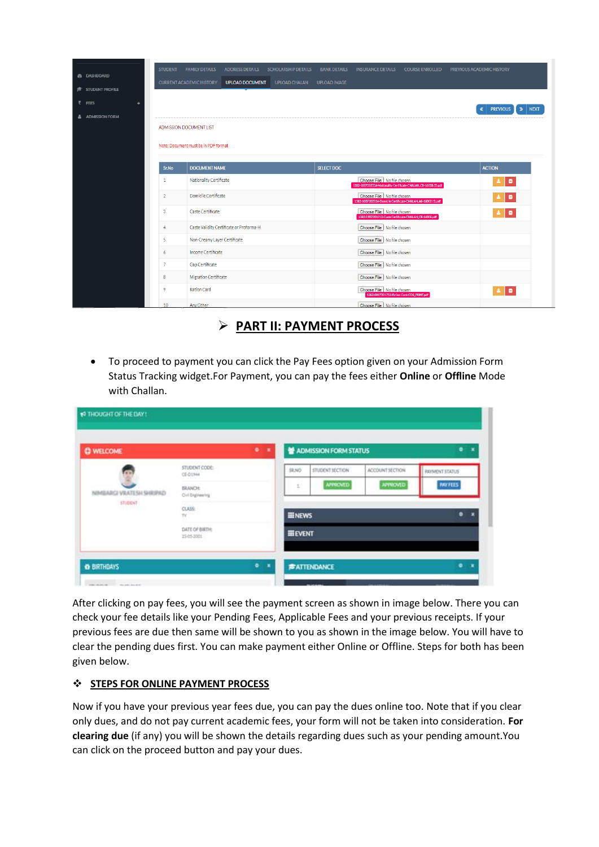|                         | <b>STUDENT</b>  | <b>FAMILY DETAILS</b>                | <b>ADDRESS DETAILS</b>                   | SCHOLARSHIP DETAILS | <b>BANK DETAILS</b> | <b>INSURANCE DETAILS</b>                                                                      | <b>COURSE ENROLLED</b> | PREVIOUS ACADEMIC HISTORY                         |
|-------------------------|-----------------|--------------------------------------|------------------------------------------|---------------------|---------------------|-----------------------------------------------------------------------------------------------|------------------------|---------------------------------------------------|
| <b>@</b> DASHBOARD      |                 | <b>CURRENT ACADEMIC HISTORY</b>      | <b>UPLOAD DOCUMENT</b>                   | UPLOAD CHALAN       | <b>UPLOAD IMAGE</b> |                                                                                               |                        |                                                   |
| <b>STUDENT PROFILE</b>  |                 |                                      |                                          |                     |                     |                                                                                               |                        |                                                   |
| ₹ FEES                  |                 |                                      |                                          |                     |                     |                                                                                               |                        | <b>PREVIOUS</b><br>$\triangleright$ NEXT<br>$\ll$ |
| <b>A</b> ADMISSION FORM |                 | <b>ADMISSION DOCUMENT LIST</b>       |                                          |                     |                     |                                                                                               |                        |                                                   |
|                         |                 | Note: Document must be in PDF format |                                          |                     |                     |                                                                                               |                        |                                                   |
|                         | Sr.No           | <b>DOCUMENT NAME</b>                 |                                          |                     | <b>SELECT DOC</b>   |                                                                                               |                        | <b>ACTION</b>                                     |
|                         | $\mathbf{1}$    | Nationality Certificate              |                                          |                     |                     | Choose File No file chosen<br>1382-1007202334-Nationality Certificate-CHALAN_CE-16008 (2).pdf |                        | ۱.                                                |
|                         | $\overline{2}$  | Domicile Certificate                 |                                          |                     |                     | Choose File No file chosen<br>1382-1007202334-Domicile Certificate-CHALAN_AE-18002 (5).pdf    |                        | l e i                                             |
|                         | 3               | Caste Certificate                    |                                          |                     |                     | Choose File No file chosen<br>1382-0907201312-Caste Certificate-CHALAN_CE-16008.pdf           |                        | $\Delta$ $\Box$                                   |
|                         | 4               |                                      | Caste Validity Certificate or Proforma-H |                     |                     | Choose File No file chosen                                                                    |                        |                                                   |
|                         | 5               | Non-Creamy Layer Certificate         |                                          |                     |                     | Choose File No file chosen                                                                    |                        |                                                   |
|                         | 6               | Income Certificate                   |                                          |                     |                     | Choose File   No file chosen                                                                  |                        |                                                   |
|                         | $\overline{7}$  | Gap Certificate                      |                                          |                     |                     | Choose File No file chosen                                                                    |                        |                                                   |
|                         | 8               | Migration Certificate                |                                          |                     |                     | Choose File No file chosen                                                                    |                        |                                                   |
|                         | 9               | <b>Ration Card</b>                   |                                          |                     |                     | Choose File No file chosen<br>1382-0907201753-Ration Card-COE_PRINT.pdf                       |                        | ÷                                                 |
|                         | 10 <sup>°</sup> | Any Other                            |                                          |                     |                     | Choose File No file chosen                                                                    |                        |                                                   |

- ➢ **PART II: PAYMENT PROCESS**
- To proceed to payment you can click the Pay Fees option given on your Admission Form Status Tracking widget.For Payment, you can pay the fees either **Online** or **Offline** Mode with Challan.

| <b>C WELCOME</b>                               |                                   | 0<1 |                 | ADMISSION FORM STATUS |                 | ۰<br>×                  |
|------------------------------------------------|-----------------------------------|-----|-----------------|-----------------------|-----------------|-------------------------|
|                                                | STUDENT CODE:<br>CE-01944         |     | 59, 59,         | STUDENT SECTION       | ACCOUNT SECTION | <b>PRIVATENT STATUS</b> |
| <b>JEGI VRATESH SHRIPAD</b><br><b>STUDIENT</b> | <b>BRANCH:</b><br>Ovi Expiresting |     | ī.              | <b>APPROVED</b>       | ANNOVED         | <b>PAYFEES</b>          |
|                                                | $_{\text{cross}}$<br>TV           |     | <b>III NEWS</b> |                       |                 | ۰                       |
|                                                | DATE OF BIRTH:<br>23-05-3001      |     | <b>HEVENT</b>   |                       |                 |                         |

After clicking on pay fees, you will see the payment screen as shown in image below. There you can check your fee details like your Pending Fees, Applicable Fees and your previous receipts. If your previous fees are due then same will be shown to you as shown in the image below. You will have to clear the pending dues first. You can make payment either Online or Offline. Steps for both has been given below.

## ❖ **STEPS FOR ONLINE PAYMENT PROCESS**

Now if you have your previous year fees due, you can pay the dues online too. Note that if you clear only dues, and do not pay current academic fees, your form will not be taken into consideration. **For clearing due** (if any) you will be shown the details regarding dues such as your pending amount.You can click on the proceed button and pay your dues.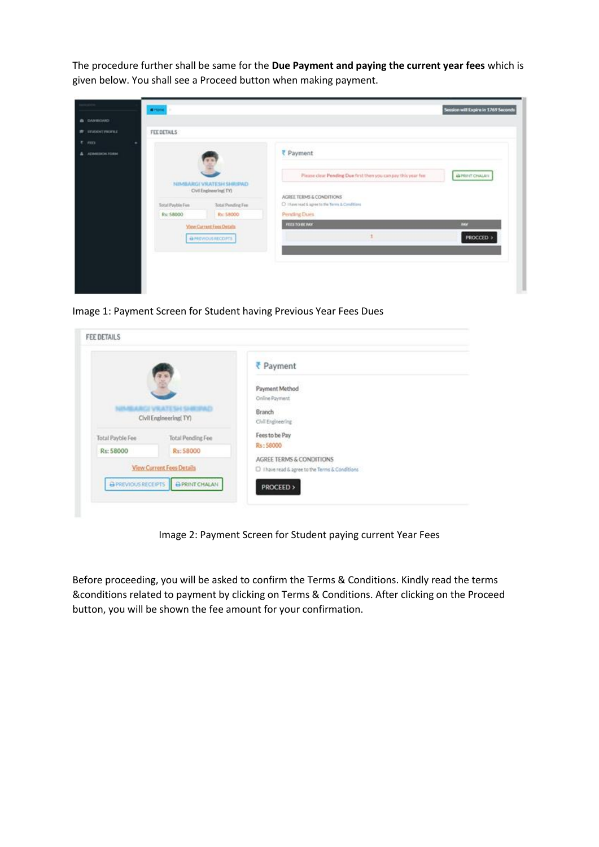The procedure further shall be same for the **Due Payment and paying the current year fees** which is given below. You shall see a Proceed button when making payment.

|                     | <b><i><u>Retorne  </u></i></b> |                                                                                            |                                                                                                                                                                           | Session will Expire in 1769 Seconds |
|---------------------|--------------------------------|--------------------------------------------------------------------------------------------|---------------------------------------------------------------------------------------------------------------------------------------------------------------------------|-------------------------------------|
| <b>B</b> DANEOVIO   |                                |                                                                                            |                                                                                                                                                                           |                                     |
| <b># INGOCFRONE</b> | FEE DETAILS                    |                                                                                            |                                                                                                                                                                           |                                     |
| $E$ , $mn$          |                                |                                                                                            |                                                                                                                                                                           |                                     |
| А данностоям        | Total Payble Fee:<br>Rs: 58000 | NIMBARGI VRATESH SHRIPAD<br>Civil Engineering(TV)<br><b>Total Pending Fee</b><br>Rs: 58000 | ₹ Payment<br>Please clear Pending Due first then you can pay this year fee.<br>AGREE TERMS & CONDITIONS<br>C 1 New read & agree to the Terms & Conditions<br>Pending Dues | <b>BIPRINT CHALAN</b>               |
|                     |                                | <b>Yiew Current Fees Details</b>                                                           | FEES TO BE INCO<br><b>INCY</b>                                                                                                                                            |                                     |
|                     |                                | A PREVIOUS RECOPTS                                                                         |                                                                                                                                                                           | PROCCED >                           |
|                     |                                |                                                                                            |                                                                                                                                                                           |                                     |

Image 1: Payment Screen for Student having Previous Year Fees Dues

|                     | ī.                        | ₹ Payment                                                                   |  |
|---------------------|---------------------------|-----------------------------------------------------------------------------|--|
|                     |                           | Payment Method<br>Online Payment                                            |  |
|                     | Civil Engineering(TY)     | Branch<br>Civil Engineering                                                 |  |
| Total Payble Fee    | Total Pending Fee         | Fees to be Pay                                                              |  |
| Rs: 58000           | Rs: 58000                 | Rs: 58000                                                                   |  |
| & PREVIOUS RECEIPTS | View Current Fees Details | AGREE TERMS & CONDITIONS<br>[ I have read & agree to the Terms & Conditions |  |

Image 2: Payment Screen for Student paying current Year Fees

Before proceeding, you will be asked to confirm the Terms & Conditions. Kindly read the terms &conditions related to payment by clicking on Terms & Conditions. After clicking on the Proceed button, you will be shown the fee amount for your confirmation.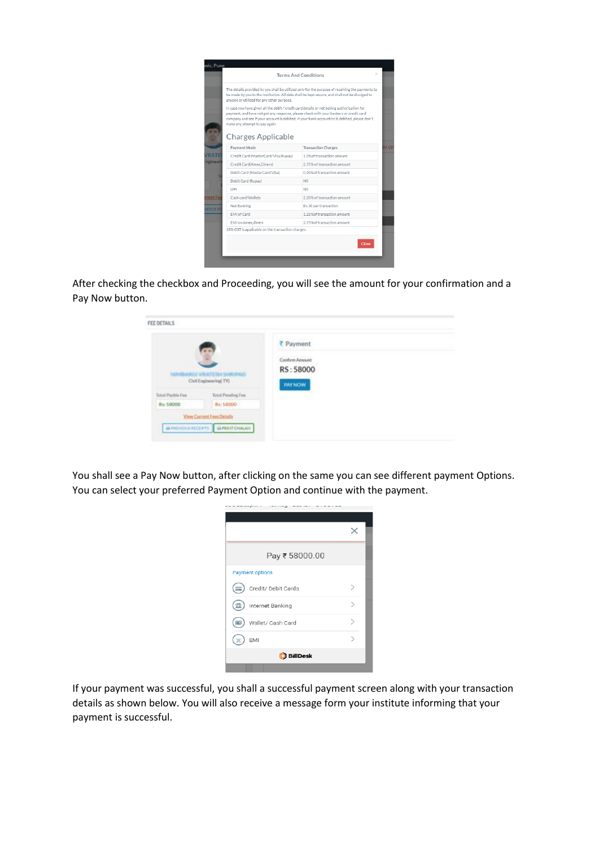|                  |                                                                                                                                                                                                                                                    | ×<br><b>Terms And Conditions</b>                                                                                                                                                                  |       |
|------------------|----------------------------------------------------------------------------------------------------------------------------------------------------------------------------------------------------------------------------------------------------|---------------------------------------------------------------------------------------------------------------------------------------------------------------------------------------------------|-------|
|                  | anyone or utilized for any other purpose.                                                                                                                                                                                                          | The details provided by you shall be utilized only for the purpose of receiving the payments to<br>be made by you to the Institution. All data shall be kept secure, and shall not be divulged to |       |
|                  | In case you have given all the debit / credit card details or net baking authorization for<br>payment, and have not got any response, please check with your bankers or credit card<br>make any attempt to pay again.<br><b>Charges Applicable</b> | company and see if your account is debited. If your bank account/cc is debited, please don't                                                                                                      |       |
|                  | Payment Mode                                                                                                                                                                                                                                       | <b>Transaction Charges</b>                                                                                                                                                                        | ви са |
| VRATE            | Credit Card (MasterCard/Visa/Rupav)                                                                                                                                                                                                                | 1.0% of transaction amount                                                                                                                                                                        |       |
| <b>Ingineeri</b> | Credit Card(Amex.Diners)                                                                                                                                                                                                                           | 2.75% of transaction amount                                                                                                                                                                       |       |
|                  | Debit Card (MasterCard/Visa)                                                                                                                                                                                                                       | 0.90% of transaction amount                                                                                                                                                                       |       |
|                  | Debit Card (Rupay)                                                                                                                                                                                                                                 | Nil                                                                                                                                                                                               |       |
|                  | UPI                                                                                                                                                                                                                                                | Nil                                                                                                                                                                                               |       |
| rrent Fee        | Cash card/Wallets                                                                                                                                                                                                                                  | 2.20% of transaction amount                                                                                                                                                                       |       |
| <b>VIOUS RI</b>  | Net Banking                                                                                                                                                                                                                                        | Rs.30 per transaction                                                                                                                                                                             |       |
|                  | EMI of Card                                                                                                                                                                                                                                        | 1.25% of transaction amount                                                                                                                                                                       |       |
|                  | EMI on Amex.diners                                                                                                                                                                                                                                 | 2.75% of transaction amount                                                                                                                                                                       |       |
|                  |                                                                                                                                                                                                                                                    |                                                                                                                                                                                                   |       |

After checking the checkbox and Proceeding, you will see the amount for your confirmation and a Pay Now button.

| FEE DETAILS       |                                                     |                                                            |
|-------------------|-----------------------------------------------------|------------------------------------------------------------|
|                   | <b>ARGEVRATESH SHRIPAG</b><br>Civil Engineering TV1 | ₹ Payment<br>Comform Amount<br>RS: 58000<br><b>PAY NOW</b> |
| Total Paytile Fee | Total Pending Fee:                                  |                                                            |
| R: 58000          | Rx: 58000                                           |                                                            |
|                   | View Commet Fees Details                            |                                                            |
|                   | GRENOULRICEPTS GRENTOWAN                            |                                                            |
|                   |                                                     |                                                            |

You shall see a Pay Now button, after clicking on the same you can see different payment Options. You can select your preferred Payment Option and continue with the payment.

| Pay ₹ 58000.00             |  |
|----------------------------|--|
| <b>Payment options</b>     |  |
| Credit/ Debit Cards<br>$=$ |  |
| Internet Banking<br>mî     |  |
| Wallet/ Cash Card          |  |
| EMI                        |  |
| <b>D</b> BillDesk          |  |
|                            |  |

If your payment was successful, you shall a successful payment screen along with your transaction details as shown below. You will also receive a message form your institute informing that your payment is successful.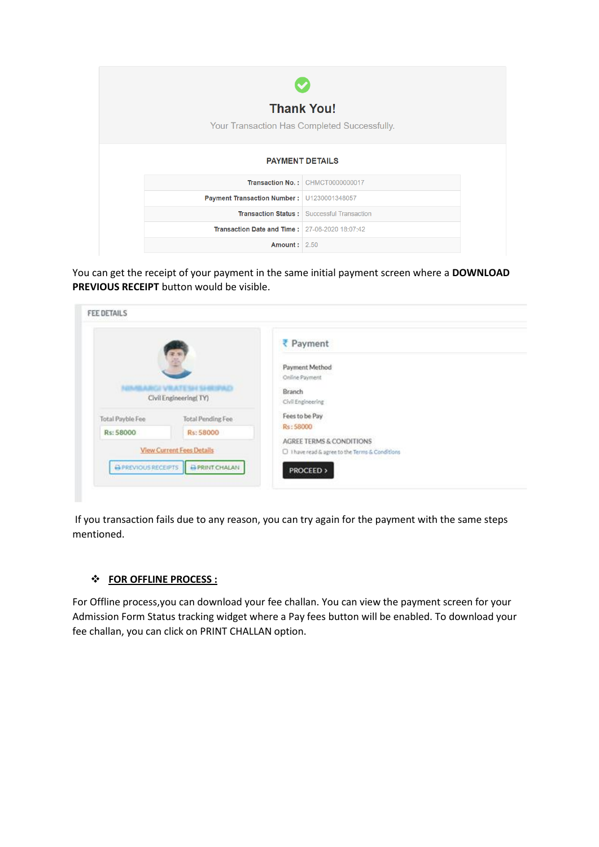| <b>Thank You!</b>                                     |                                                   |
|-------------------------------------------------------|---------------------------------------------------|
| Your Transaction Has Completed Successfully.          |                                                   |
| <b>PAYMENT DETAILS</b>                                |                                                   |
|                                                       | Transaction No.: CHMCT0000000017                  |
| Payment Transaction Number: U1230001348057            |                                                   |
|                                                       | <b>Transaction Status: Successful Transaction</b> |
| <b>Transaction Date and Time: 27-06-2020 18:07:42</b> |                                                   |
| <b>Amount: 2.50</b>                                   |                                                   |

You can get the receipt of your payment in the same initial payment screen where a **DOWNLOAD PREVIOUS RECEIPT** button would be visible.

| 蓠                                            | ₹ Payment                                       |
|----------------------------------------------|-------------------------------------------------|
|                                              | Payment Method                                  |
| <b>INVEARCLYRATE SHISHING AD</b>             | Online Payment                                  |
| Civil Engineering(TY)                        | Branch                                          |
|                                              | Civil Engineering                               |
| Total Payble Fee<br><b>Total Pending Fee</b> | Fees to be Pay                                  |
|                                              | Rs: 58000                                       |
|                                              | AGREE TERMS & CONDITIONS                        |
| <b>View Current Fees Details</b>             | D I have read & agree to the Terms & Conditions |
| Rs: 58000<br>Rs: 58000                       |                                                 |

If you transaction fails due to any reason, you can try again for the payment with the same steps mentioned.

## ❖ **FOR OFFLINE PROCESS :**

For Offline process,you can download your fee challan. You can view the payment screen for your Admission Form Status tracking widget where a Pay fees button will be enabled. To download your fee challan, you can click on PRINT CHALLAN option.